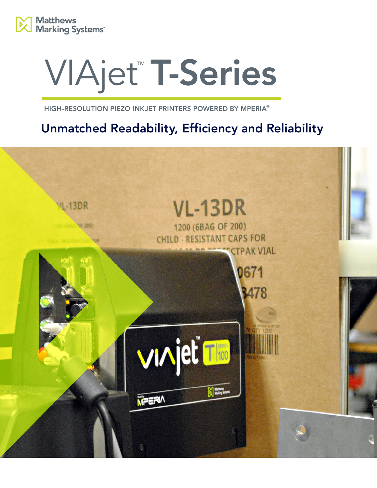

# VIAjet™ T-Series

HIGH-RESOLUTION PIEZO INKJET PRINTERS POWERED BY MPERIA®

# Unmatched Readability, Efficiency and Reliability

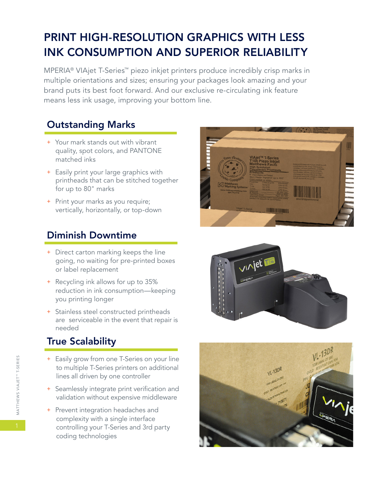# PRINT HIGH-RESOLUTION GRAPHICS WITH LESS INK CONSUMPTION AND SUPERIOR RELIABILITY

MPERIA® VIAjet T-Series™ piezo inkjet printers produce incredibly crisp marks in multiple orientations and sizes; ensuring your packages look amazing and your brand puts its best foot forward. And our exclusive re-circulating ink feature means less ink usage, improving your bottom line.

## Outstanding Marks

- + Your mark stands out with vibrant quality, spot colors, and PANTONE matched inks
- + Easily print your large graphics with printheads that can be stitched together for up to 80" marks
- + Print your marks as you require; vertically, horizontally, or top-down

## Diminish Downtime

- + Direct carton marking keeps the line going, no waiting for pre-printed boxes or label replacement
- + Recycling ink allows for up to 35% reduction in ink consumption—keeping you printing longer
- + Stainless steel constructed printheads are serviceable in the event that repair is needed

## True Scalability

- + Easily grow from one T-Series on your line to multiple T-Series printers on additional lines all driven by one controller
- + Seamlessly integrate print verification and validation without expensive middleware
- + Prevent integration headaches and complexity with a single interface controlling your T-Series and 3rd party coding technologies





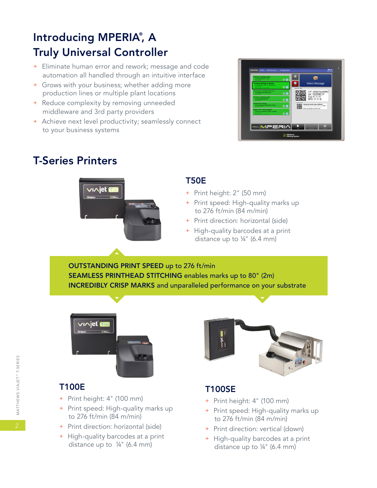# Introducing MPERIA®, A Truly Universal Controller

- + Eliminate human error and rework; message and code automation all handled through an intuitive interface
- + Grows with your business; whether adding more production lines or multiple plant locations
- + Reduce complexity by removing unneeded middleware and 3rd party providers
- + Achieve next level productivity; seamlessly connect to your business systems



## T-Series Printers



#### T50E

- + Print height: 2" (50 mm)
- + Print speed: High-quality marks up to 276 ft/min (84 m/min)
- + Print direction: horizontal (side)
- + High-quality barcodes at a print distance up to ¼" (6.4 mm)

OUTSTANDING PRINT SPEED up to 276 ft/min SEAMLESS PRINTHEAD STITCHING enables marks up to 80" (2m) INCREDIBLY CRISP MARKS and unparalleled performance on your substrate



#### T100E

- + Print height: 4" (100 mm)
- + Print speed: High-quality marks up to 276 ft/min (84 m/min)
- + Print direction: horizontal (side)
- + High-quality barcodes at a print distance up to ¼" (6.4 mm)



## T100SE

- + Print height: 4" (100 mm)
- + Print speed: High-quality marks up to 276 ft/min (84 m/min)
- + Print direction: vertical (down)
- + High-quality barcodes at a print distance up to ¼" (6.4 mm)